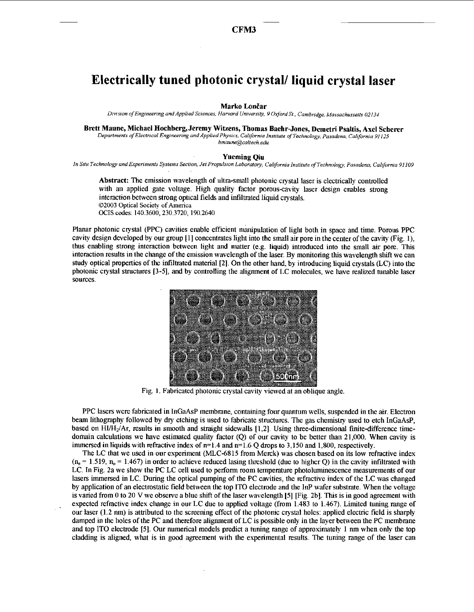## Electrically tuned photonic crystal/ liquid crystal laser

## Marko Lončar

Division of Engineering and Applied Sciences, Harvard University, 9 Oxford St., Cambridge, Massachussetts 02134

Brett Maune, Michael Hochberg, Jeremy Witzens, Thomas Baehr-Jones, Demetri Psaltis, Axel Scherer

Departments of Electrical Engineering and Applied Physics, California Institute of Technology, Pasadena, California 91125 bmaune@caltech.edu

## **Yueming Oiu**

In Situ Technology and Experiments Systems Section, Jet Propulsion Laboratory, California Institute of Technology, Pasadena, California 91109

Abstract: The emission wavelength of ultra-small photonic crystal laser is electrically controlled with an applied gate voltage. High quality factor porous-cavity laser design enables strong interaction between strong optical fields and infiltrated liquid crystals. ©2003 Optical Society of America OCIS codes: 140.3600, 230.3720, 190.2640

Planar photonic crystal (PPC) cavities enable efficient manipulation of light both in space and time. Porous PPC cavity design developed by our group [1] concentrates light into the small air pore in the center of the cavity (Fig. 1). thus enabling strong interaction between light and matter (e.g. liquid) introduced into the small air pore. This interaction results in the change of the emission wavelength of the laser. By monitoring this wavelength shift we can study optical properties of the infiltrated material [2]. On the other hand, by introducing liquid crystals (LC) into the photonic crystal structures [3-5], and by controlling the alignment of LC molecules, we have realized tunable laser sources.



Fig. 1. Fabricated photonic crystal cavity viewed at an oblique angle.

PPC lasers were fabricated in InGaAsP membrane, containing four quantum wells, suspended in the air. Electron beam lithography followed by dry etching is used to fabricate structures. The gas chemistry used to etch InGaAsP. based on HI/H<sub>2</sub>/Ar, results in smooth and straight sidewalls [1,2]. Using three-dimensional finite-difference timedomain calculations we have estimated quality factor (O) of our cavity to be better than 21,000. When cavity is immersed in liquids with refractive index of  $n=1.4$  and  $n=1.6$  O drops to 3,150 and 1,800, respectively.

The LC that we used in our experiment (MLC-6815 from Merck) was chosen based on its low refractive index  $(n_e = 1.519, n_o = 1.467)$  in order to achieve reduced lasing threshold (due to higher Q) in the cavity infiltrated with LC. In Fig. 2a we show the PC LC cell used to perform room temperature photoluminescence measurements of our lasers immersed in LC. During the optical pumping of the PC cavities, the refractive index of the LC was changed by application of an electrostatic field between the top ITO electrode and the InP wafer substrate. When the voltage is varied from 0 to 20 V we observe a blue shift of the laser wavelength [5] [Fig. 2b]. This is in good agreement with expected refractive index change in our LC due to applied voltage (from 1.483 to 1.467). Limited tuning range of our laser (1.2 nm) is attributed to the screening effect of the photonic crystal holes; applied electric field is sharply damped in the holes of the PC and therefore alignment of LC is possible only in the layer between the PC membrane and top ITO electrode [5]. Our numerical models predict a tuning range of approximately 1 nm when only the top cladding is aligned, what is in good agreement with the experimental results. The tuning range of the laser can